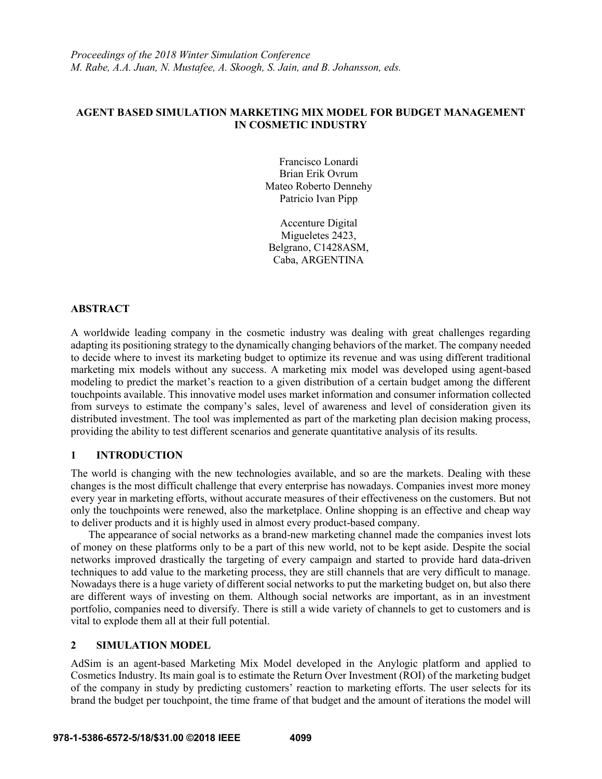# **AGENT BASED SIMULATION MARKETING MIX MODEL FOR BUDGET MANAGEMENT IN COSMETIC INDUSTRY**

Francisco Lonardi Brian Erik Ovrum Mateo Roberto Dennehy Patricio Ivan Pipp

Accenture Digital Migueletes 2423, Belgrano, C1428ASM, Caba, ARGENTINA

## **ABSTRACT**

A worldwide leading company in the cosmetic industry was dealing with great challenges regarding adapting its positioning strategy to the dynamically changing behaviors of the market. The company needed to decide where to invest its marketing budget to optimize its revenue and was using different traditional marketing mix models without any success. A marketing mix model was developed using agent-based modeling to predict the market's reaction to a given distribution of a certain budget among the different touchpoints available. This innovative model uses market information and consumer information collected from surveys to estimate the company's sales, level of awareness and level of consideration given its distributed investment. The tool was implemented as part of the marketing plan decision making process, providing the ability to test different scenarios and generate quantitative analysis of its results.

### **1 INTRODUCTION**

The world is changing with the new technologies available, and so are the markets. Dealing with these changes is the most difficult challenge that every enterprise has nowadays. Companies invest more money every year in marketing efforts, without accurate measures of their effectiveness on the customers. But not only the touchpoints were renewed, also the marketplace. Online shopping is an effective and cheap way to deliver products and it is highly used in almost every product-based company.

The appearance of social networks as a brand-new marketing channel made the companies invest lots of money on these platforms only to be a part of this new world, not to be kept aside. Despite the social networks improved drastically the targeting of every campaign and started to provide hard data-driven techniques to add value to the marketing process, they are still channels that are very difficult to manage. Nowadays there is a huge variety of different social networks to put the marketing budget on, but also there are different ways of investing on them. Although social networks are important, as in an investment portfolio, companies need to diversify. There is still a wide variety of channels to get to customers and is vital to explode them all at their full potential.

#### **2 SIMULATION MODEL**

AdSim is an agent-based Marketing Mix Model developed in the Anylogic platform and applied to Cosmetics Industry. Its main goal is to estimate the Return Over Investment (ROI) of the marketing budget of the company in study by predicting customers' reaction to marketing efforts. The user selects for its brand the budget per touchpoint, the time frame of that budget and the amount of iterations the model will